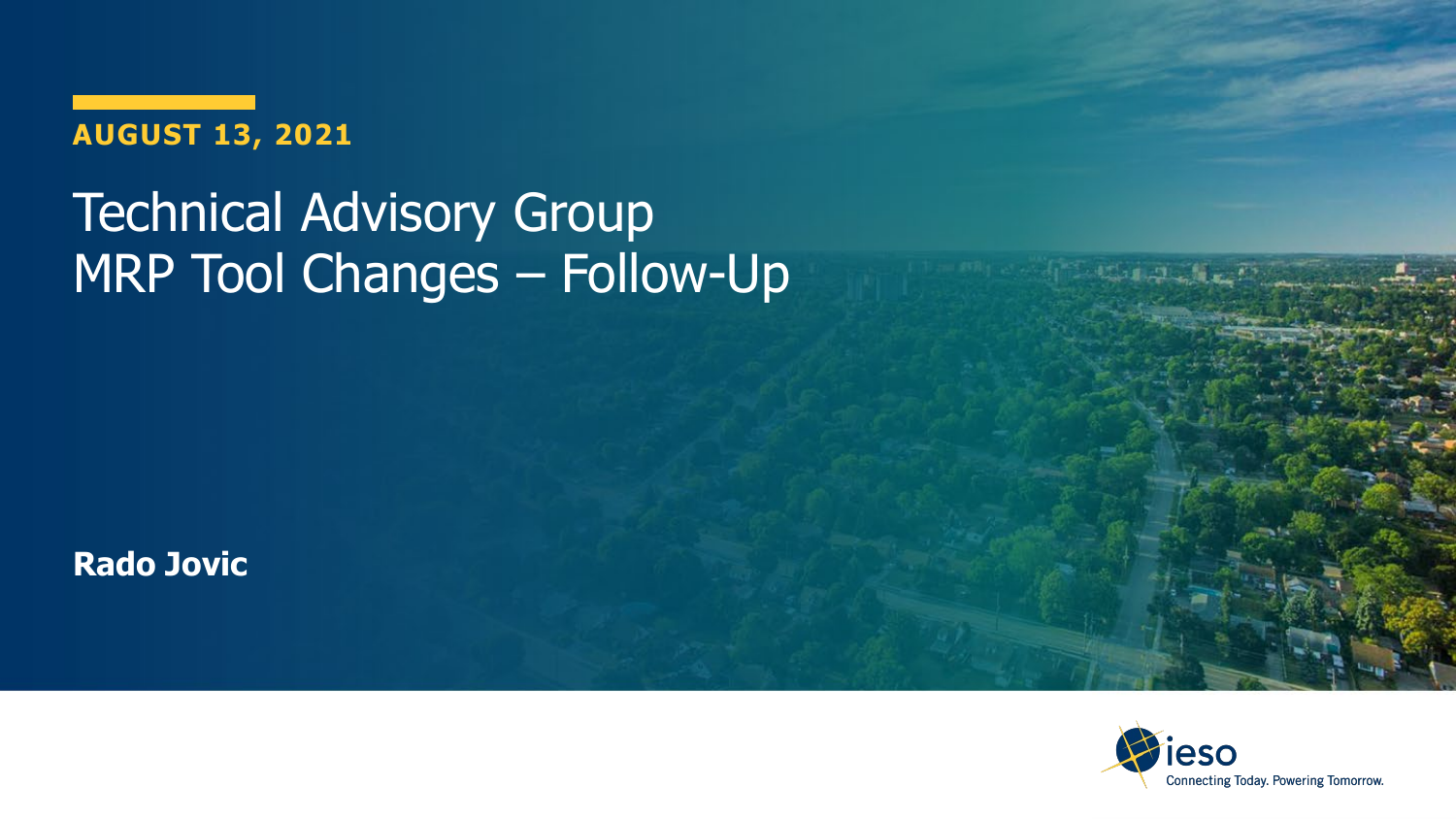**AUGUST 13, 2021**

### **Technical Advisory Group** MRP Tool Changes – Follow-Up

**Rado Jovic**

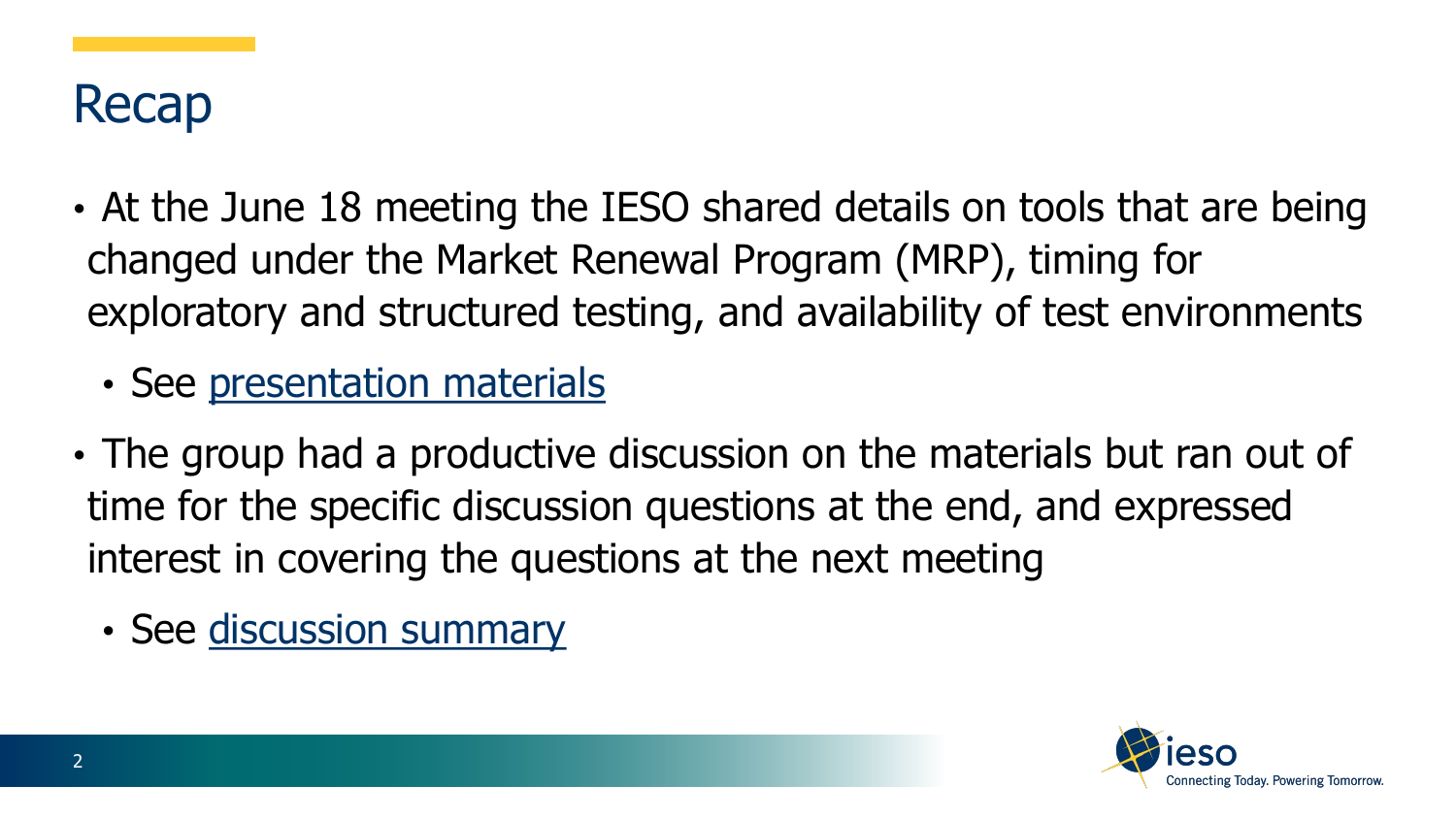

- At the June 18 meeting the IESO shared details on tools that are being changed under the Market Renewal Program (MRP), timing for exploratory and structured testing, and availability of test environments
	- See [presentation materials](https://www.ieso.ca/-/media/Files/IESO/Document-Library/engage/imrm/imrm-20210618-tag-tool-changes.ashx)
- The group had a productive discussion on the materials but ran out of time for the specific discussion questions at the end, and expressed interest in covering the questions at the next meeting
	- See [discussion summary](https://www.ieso.ca/-/media/Files/IESO/Document-Library/engage/imrm/imrm-20210618-tag-discussion-summary.ashx)

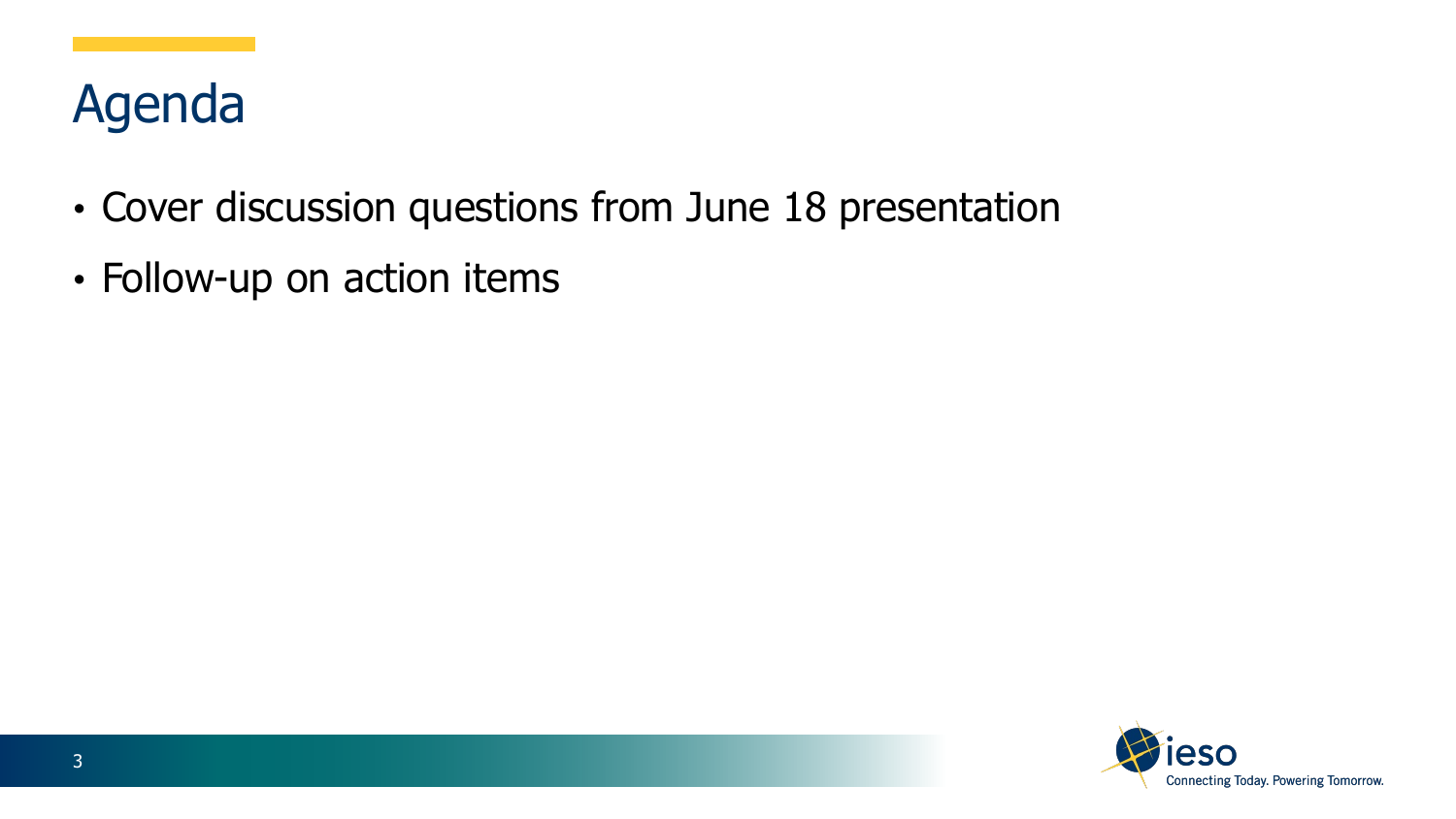# Agenda

- Cover discussion questions from June 18 presentation
- Follow-up on action items

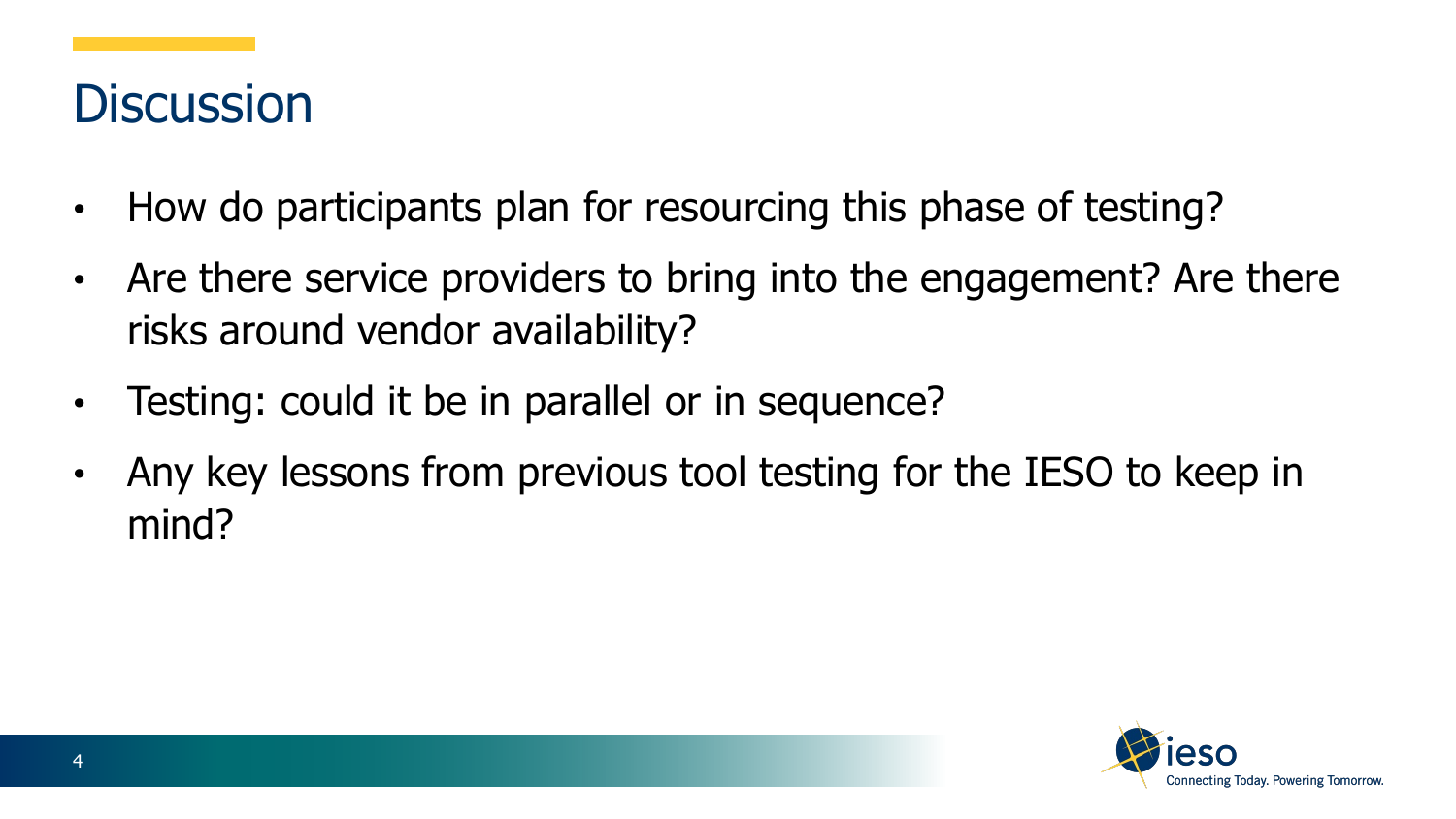#### **Discussion**

- How do participants plan for resourcing this phase of testing?
- Are there service providers to bring into the engagement? Are there risks around vendor availability?
- Testing: could it be in parallel or in sequence?
- Any key lessons from previous tool testing for the IESO to keep in mind?

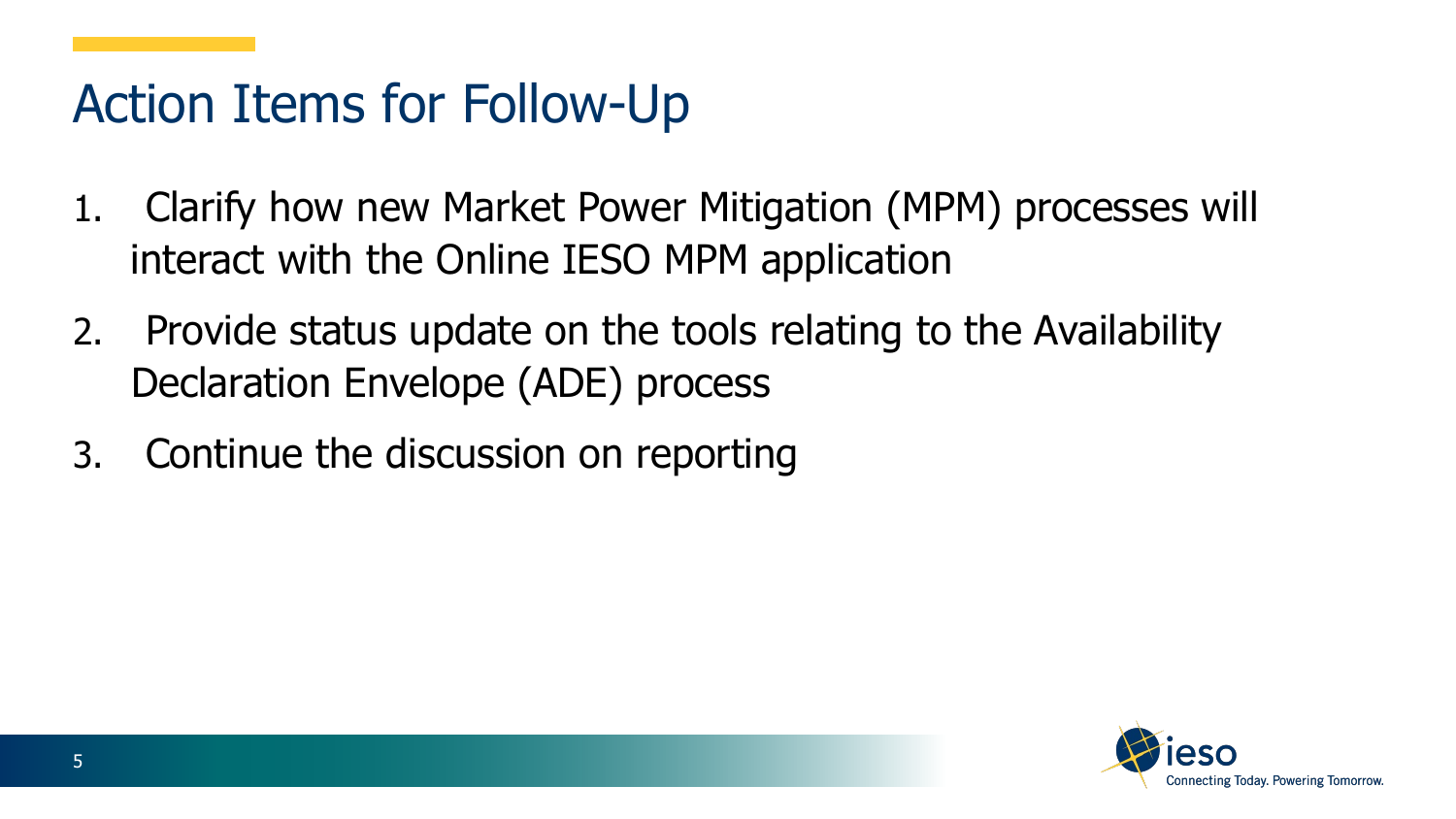### Action Items for Follow-Up

- 1. Clarify how new Market Power Mitigation (MPM) processes will interact with the Online IESO MPM application
- 2. Provide status update on the tools relating to the Availability Declaration Envelope (ADE) process
- 3. Continue the discussion on reporting

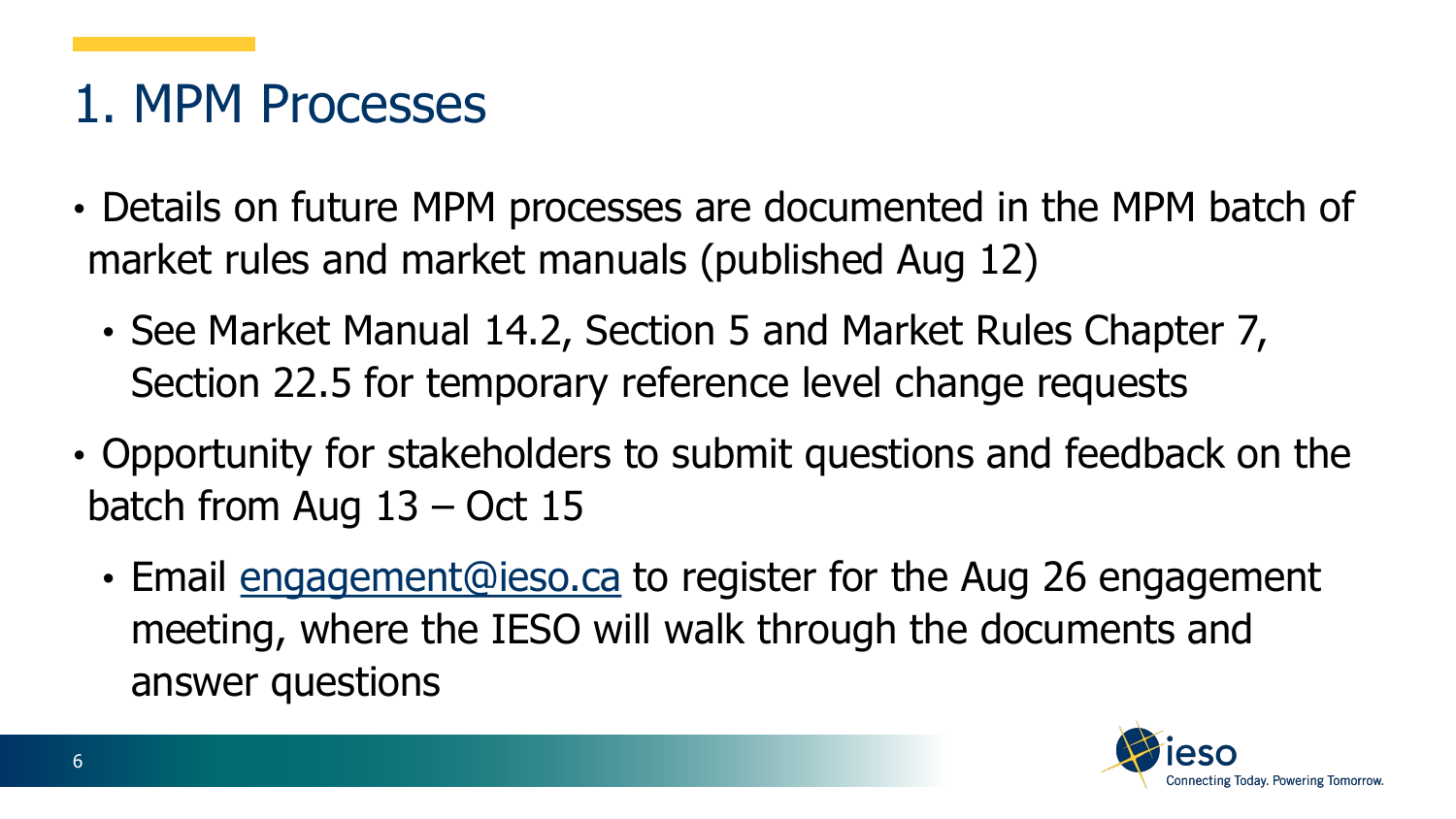### 1. MPM Processes

- Details on future MPM processes are documented in the MPM batch of market rules and market manuals (published Aug 12)
	- See Market Manual 14.2, Section 5 and Market Rules Chapter 7, Section 22.5 for temporary reference level change requests
- Opportunity for stakeholders to submit questions and feedback on the batch from Aug 13 – Oct 15
	- Email [engagement@ieso.ca](mailto:engagement@ieso.ca) to register for the Aug 26 engagement meeting, where the IESO will walk through the documents and answer questions

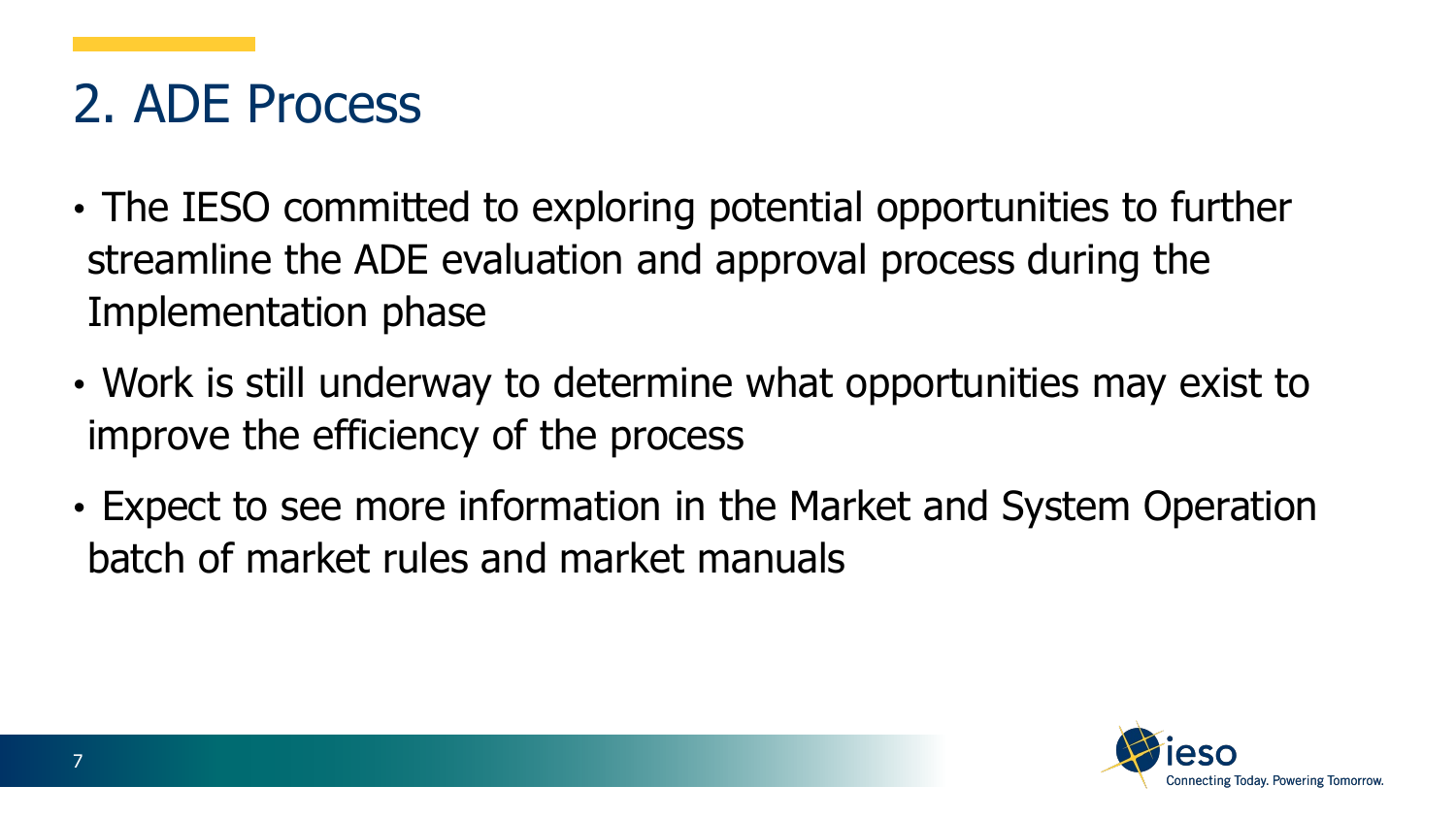# 2. ADE Process

- The IESO committed to exploring potential opportunities to further streamline the ADE evaluation and approval process during the Implementation phase
- Work is still underway to determine what opportunities may exist to improve the efficiency of the process
- Expect to see more information in the Market and System Operation batch of market rules and market manuals